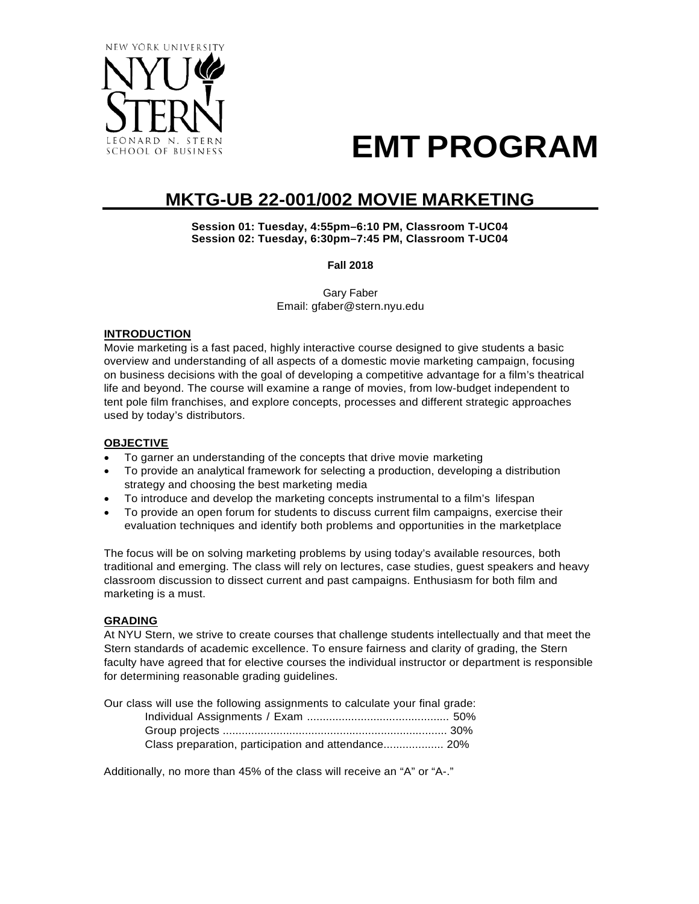

# **EMT PROGRAM**

# **MKTG-UB 22-001/002 MOVIE MARKETING**

**Session 01: Tuesday, 4:55pm–6:10 PM, Classroom T-UC04 Session 02: Tuesday, 6:30pm–7:45 PM, Classroom T-UC04**

**Fall 2018**

Gary Faber Email: [gfaber@stern.nyu.edu](mailto:gfaber@stern.nyu.edu)

# **INTRODUCTION**

Movie marketing is a fast paced, highly interactive course designed to give students a basic overview and understanding of all aspects of a domestic movie marketing campaign, focusing on business decisions with the goal of developing a competitive advantage for a film's theatrical life and beyond. The course will examine a range of movies, from low-budget independent to tent pole film franchises, and explore concepts, processes and different strategic approaches used by today's distributors.

# **OBJECTIVE**

- To garner an understanding of the concepts that drive movie marketing
- To provide an analytical framework for selecting a production, developing a distribution strategy and choosing the best marketing media
- To introduce and develop the marketing concepts instrumental to a film's lifespan
- To provide an open forum for students to discuss current film campaigns, exercise their evaluation techniques and identify both problems and opportunities in the marketplace

The focus will be on solving marketing problems by using today's available resources, both traditional and emerging. The class will rely on lectures, case studies, guest speakers and heavy classroom discussion to dissect current and past campaigns. Enthusiasm for both film and marketing is a must.

# **GRADING**

At NYU Stern, we strive to create courses that challenge students intellectually and that meet the Stern standards of academic excellence. To ensure fairness and clarity of grading, the Stern faculty have agreed that for elective courses the individual instructor or department is responsible for determining reasonable grading guidelines.

| Our class will use the following assignments to calculate your final grade: |  |
|-----------------------------------------------------------------------------|--|
|                                                                             |  |
|                                                                             |  |
| Class preparation, participation and attendance 20%                         |  |

Additionally, no more than 45% of the class will receive an "A" or "A-."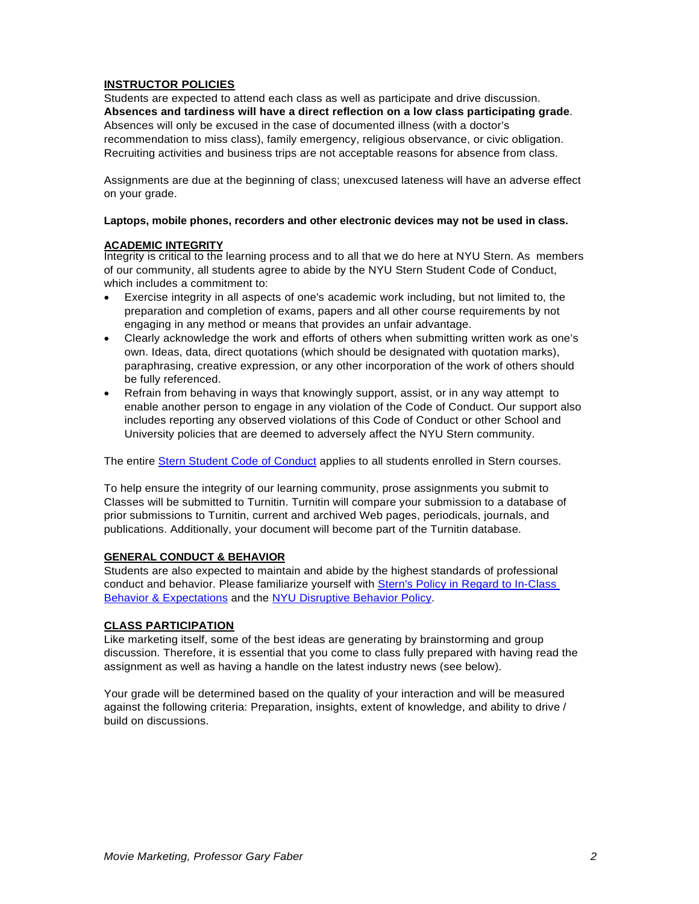# **INSTRUCTOR POLICIES**

Students are expected to attend each class as well as participate and drive discussion. **Absences and tardiness will have a direct reflection on a low class participating grade**. Absences will only be excused in the case of documented illness (with a doctor's recommendation to miss class), family emergency, religious observance, or civic obligation. Recruiting activities and business trips are not acceptable reasons for absence from class.

Assignments are due at the beginning of class; unexcused lateness will have an adverse effect on your grade.

#### **Laptops, mobile phones, recorders and other electronic devices may not be used in class.**

# **ACADEMIC INTEGRITY**

Integrity is critical to the learning process and to all that we do here at NYU Stern. As members of our community, all students agree to abide by the NYU Stern Student Code of Conduct, which includes a commitment to:

- Exercise integrity in all aspects of one's academic work including, but not limited to, the preparation and completion of exams, papers and all other course requirements by not engaging in any method or means that provides an unfair advantage.
- Clearly acknowledge the work and efforts of others when submitting written work as one's own. Ideas, data, direct quotations (which should be designated with quotation marks), paraphrasing, creative expression, or any other incorporation of the work of others should be fully referenced.
- Refrain from behaving in ways that knowingly support, assist, or in any way attempt to enable another person to engage in any violation of the Code of Conduct. Our support also includes reporting any observed violations of this Code of Conduct or other School and University policies that are deemed to adversely affect the NYU Stern community.

The entire [Stern Student Code of Conduct](http://www.stern.nyu.edu/portal-partners/current-students/undergraduate/resources-policies/code-of-conduct) applies to all students enrolled in Stern courses.

To help ensure the integrity of our learning community, prose assignments you submit to Classes will be submitted to Turnitin. Turnitin will compare your submission to a database of prior submissions to Turnitin, current and archived Web pages, periodicals, journals, and publications. Additionally, your document will become part of the Turnitin database.

# **GENERAL CONDUCT & BEHAVIOR**

Students are also expected to maintain and abide by the highest standards of professional conduct and behavior. Please familiarize yourself with [Stern's Policy in Regard to In-Class](http://www.stern.nyu.edu/portal-partners/current-students/undergraduate/resources-policies/academic-policies)  [Behavior & Expectations](http://www.stern.nyu.edu/portal-partners/current-students/undergraduate/resources-policies/academic-policies) and the [NYU Disruptive Behavior Policy.](https://www.nyu.edu/about/policies-guidelines-compliance/policies-and-guidelines/university-student-conduct-policy.html)

# **CLASS PARTICIPATION**

Like marketing itself, some of the best ideas are generating by brainstorming and group discussion. Therefore, it is essential that you come to class fully prepared with having read the assignment as well as having a handle on the latest industry news (see below).

Your grade will be determined based on the quality of your interaction and will be measured against the following criteria: Preparation, insights, extent of knowledge, and ability to drive / build on discussions.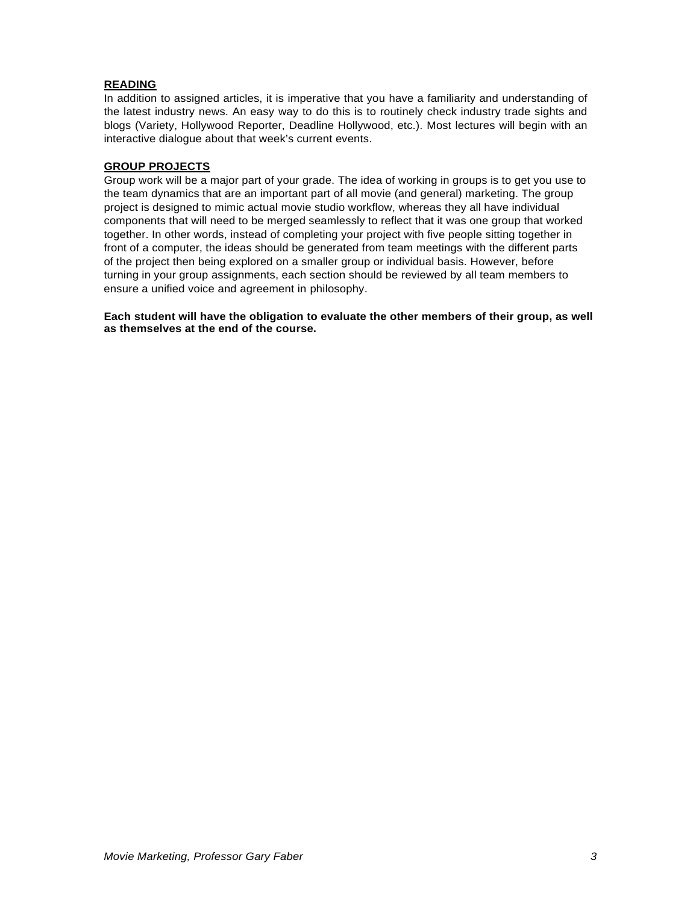# **READING**

In addition to assigned articles, it is imperative that you have a familiarity and understanding of the latest industry news. An easy way to do this is to routinely check industry trade sights and blogs (Variety, Hollywood Reporter, Deadline Hollywood, etc.). Most lectures will begin with an interactive dialogue about that week's current events.

# **GROUP PROJECTS**

Group work will be a major part of your grade. The idea of working in groups is to get you use to the team dynamics that are an important part of all movie (and general) marketing. The group project is designed to mimic actual movie studio workflow, whereas they all have individual components that will need to be merged seamlessly to reflect that it was one group that worked together. In other words, instead of completing your project with five people sitting together in front of a computer, the ideas should be generated from team meetings with the different parts of the project then being explored on a smaller group or individual basis. However, before turning in your group assignments, each section should be reviewed by all team members to ensure a unified voice and agreement in philosophy.

**Each student will have the obligation to evaluate the other members of their group, as well as themselves at the end of the course.**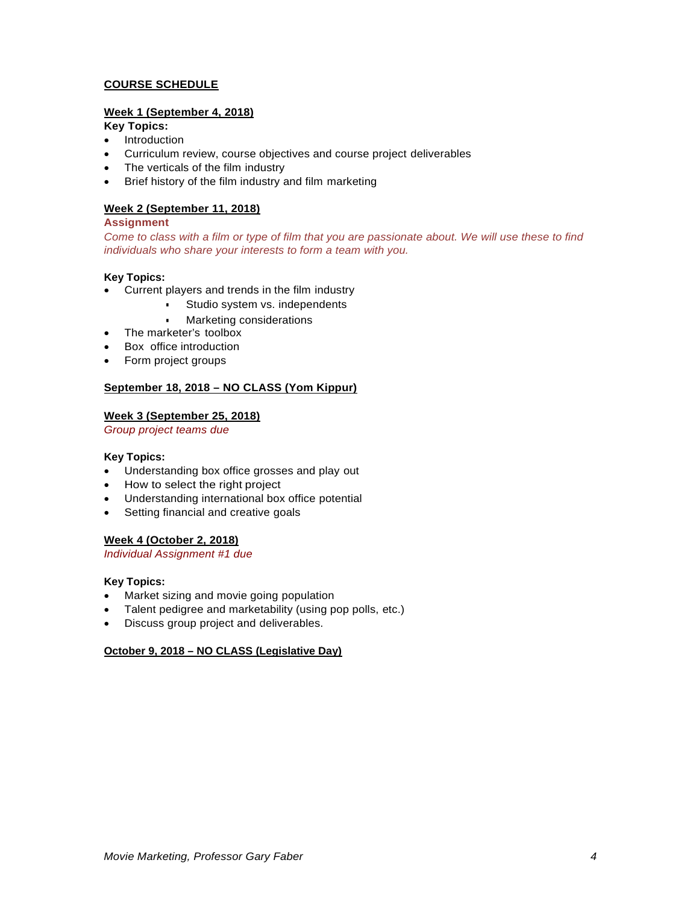# **COURSE SCHEDULE**

# **Week 1 (September 4, 2018)**

# **Key Topics:**

- Introduction
- Curriculum review, course objectives and course project deliverables
- The verticals of the film industry
- Brief history of the film industry and film marketing

# **Week 2 (September 11, 2018)**

# **Assignment**

*Come to class with a film or type of film that you are passionate about. We will use these to find individuals who share your interests to form a team with you.*

# **Key Topics:**

- Current players and trends in the film industry
	- **•** Studio system vs. independents
	- **Marketing considerations**
- The marketer's toolbox
- Box office introduction
- Form project groups

# **September 18, 2018 – NO CLASS (Yom Kippur)**

#### **Week 3 (September 25, 2018)**

*Group project teams due*

#### **Key Topics:**

- Understanding box office grosses and play out
- How to select the right project
- Understanding international box office potential
- Setting financial and creative goals

# **Week 4 (October 2, 2018)**

*Individual Assignment #1 due*

# **Key Topics:**

- Market sizing and movie going population
- Talent pedigree and marketability (using pop polls, etc.)
- Discuss group project and deliverables.

# **October 9, 2018 – NO CLASS (Legislative Day)**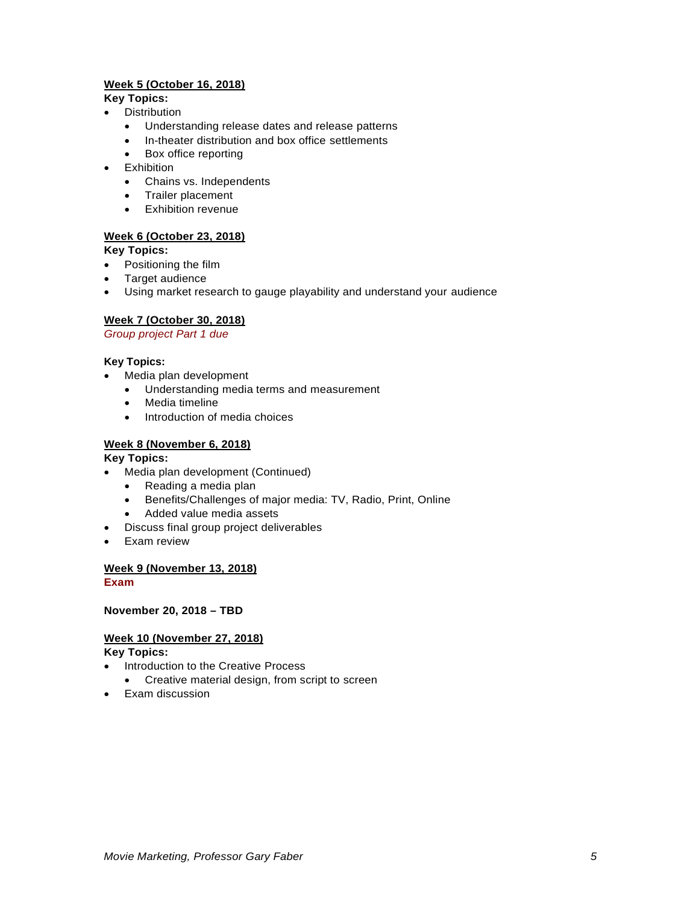# **Week 5 (October 16, 2018)**

# **Key Topics:**

- Distribution
	- Understanding release dates and release patterns
	- In-theater distribution and box office settlements
	- Box office reporting
- Exhibition
	- Chains vs. Independents
	- Trailer placement
	- Exhibition revenue

# **Week 6 (October 23, 2018)**

**Key Topics:**

- Positioning the film
- Target audience
- Using market research to gauge playability and understand your audience

# **Week 7 (October 30, 2018)**

*Group project Part 1 due*

# **Key Topics:**

- Media plan development
	- Understanding media terms and measurement
	- Media timeline
	- Introduction of media choices

# **Week 8 (November 6, 2018)**

# **Key Topics:**

- Media plan development (Continued)
	-
	- Reading a media plan<br>• Benefits/Challenges of • Benefits/Challenges of major media: TV, Radio, Print, Online
	- Added value media assets
- Discuss final group project deliverables
- Exam review

# **Week 9 (November 13, 2018)**

# **Exam**

**November 20, 2018 – TBD**

# **Week 10 (November 27, 2018)**

**Key Topics:**

- Introduction to the Creative Process
	- Creative material design, from script to screen
- Exam discussion